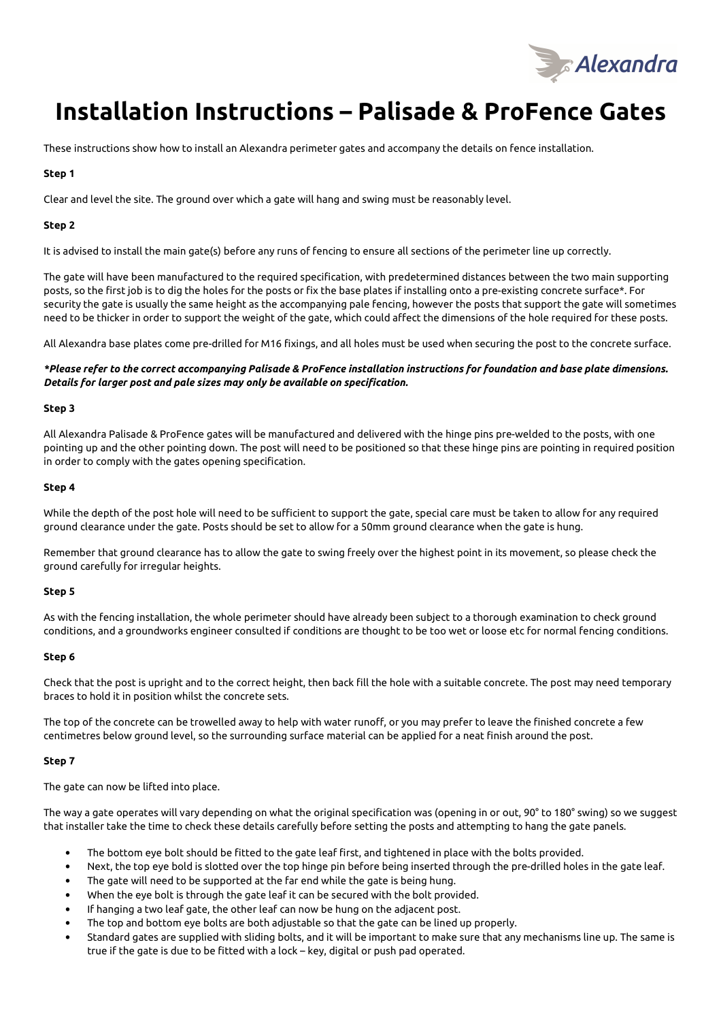

# **Installation Instructions – Palisade & ProFence Gates**

These instructions show how to install an Alexandra perimeter gates and accompany the details on fence installation.

### **Step 1**

Clear and level the site. The ground over which a gate will hang and swing must be reasonably level.

### **Step 2**

It is advised to install the main gate(s) before any runs of fencing to ensure all sections of the perimeter line up correctly.

The gate will have been manufactured to the required specification, with predetermined distances between the two main supporting posts, so the first job is to dig the holes for the posts or fix the base plates if installing onto a pre-existing concrete surface\*. For security the gate is usually the same height as the accompanying pale fencing, however the posts that support the gate will sometimes need to be thicker in order to support the weight of the gate, which could affect the dimensions of the hole required for these posts.

All Alexandra base plates come pre-drilled for M16 fixings, and all holes must be used when securing the post to the concrete surface.

*\*Please refer to the correct accompanying Palisade & ProFence installation instructions for foundation and base plate dimensions. Details for larger post and pale sizes may only be available on specification.* 

#### **Step 3**

All Alexandra Palisade & ProFence gates will be manufactured and delivered with the hinge pins pre-welded to the posts, with one pointing up and the other pointing down. The post will need to be positioned so that these hinge pins are pointing in required position in order to comply with the gates opening specification.

#### **Step 4**

While the depth of the post hole will need to be sufficient to support the gate, special care must be taken to allow for any required ground clearance under the gate. Posts should be set to allow for a 50mm ground clearance when the gate is hung.

Remember that ground clearance has to allow the gate to swing freely over the highest point in its movement, so please check the ground carefully for irregular heights.

#### **Step 5**

As with the fencing installation, the whole perimeter should have already been subject to a thorough examination to check ground conditions, and a groundworks engineer consulted if conditions are thought to be too wet or loose etc for normal fencing conditions.

#### **Step 6**

Check that the post is upright and to the correct height, then back fill the hole with a suitable concrete. The post may need temporary braces to hold it in position whilst the concrete sets.

The top of the concrete can be trowelled away to help with water runoff, or you may prefer to leave the finished concrete a few centimetres below ground level, so the surrounding surface material can be applied for a neat finish around the post.

#### **Step 7**

The gate can now be lifted into place.

The way a gate operates will vary depending on what the original specification was (opening in or out, 90° to 180° swing) so we suggest that installer take the time to check these details carefully before setting the posts and attempting to hang the gate panels.

- The bottom eye bolt should be fitted to the gate leaf first, and tightened in place with the bolts provided.
- Next, the top eye bold is slotted over the top hinge pin before being inserted through the pre-drilled holes in the gate leaf.
- The gate will need to be supported at the far end while the gate is being hung.
- When the eye bolt is through the gate leaf it can be secured with the bolt provided.
- If hanging a two leaf gate, the other leaf can now be hung on the adjacent post.
- The top and bottom eye bolts are both adjustable so that the gate can be lined up properly.
- Standard gates are supplied with sliding bolts, and it will be important to make sure that any mechanisms line up. The same is true if the gate is due to be fitted with a lock – key, digital or push pad operated.